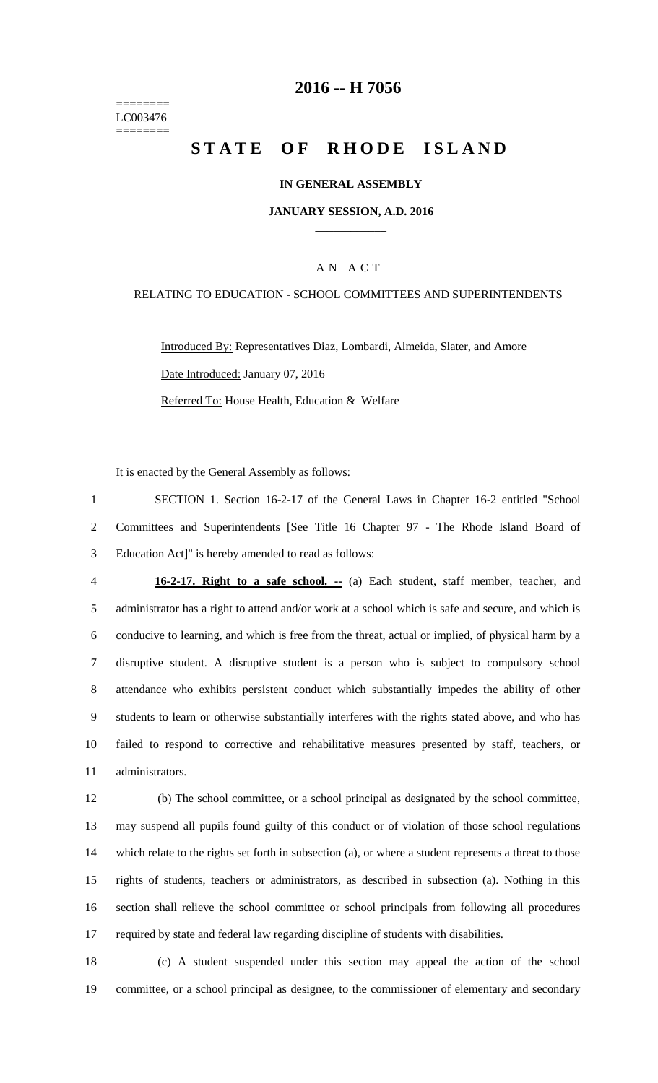======== LC003476 ========

### **-- H 7056**

# **STATE OF RHODE ISLAND**

#### **IN GENERAL ASSEMBLY**

#### **JANUARY SESSION, A.D. 2016 \_\_\_\_\_\_\_\_\_\_\_\_**

#### A N A C T

#### RELATING TO EDUCATION - SCHOOL COMMITTEES AND SUPERINTENDENTS

Introduced By: Representatives Diaz, Lombardi, Almeida, Slater, and Amore Date Introduced: January 07, 2016 Referred To: House Health, Education & Welfare

It is enacted by the General Assembly as follows:

 SECTION 1. Section 16-2-17 of the General Laws in Chapter 16-2 entitled "School Committees and Superintendents [See Title 16 Chapter 97 - The Rhode Island Board of Education Act]" is hereby amended to read as follows:

 **16-2-17. Right to a safe school. --** (a) Each student, staff member, teacher, and administrator has a right to attend and/or work at a school which is safe and secure, and which is conducive to learning, and which is free from the threat, actual or implied, of physical harm by a disruptive student. A disruptive student is a person who is subject to compulsory school attendance who exhibits persistent conduct which substantially impedes the ability of other students to learn or otherwise substantially interferes with the rights stated above, and who has failed to respond to corrective and rehabilitative measures presented by staff, teachers, or administrators.

 (b) The school committee, or a school principal as designated by the school committee, may suspend all pupils found guilty of this conduct or of violation of those school regulations which relate to the rights set forth in subsection (a), or where a student represents a threat to those rights of students, teachers or administrators, as described in subsection (a). Nothing in this section shall relieve the school committee or school principals from following all procedures required by state and federal law regarding discipline of students with disabilities.

 (c) A student suspended under this section may appeal the action of the school committee, or a school principal as designee, to the commissioner of elementary and secondary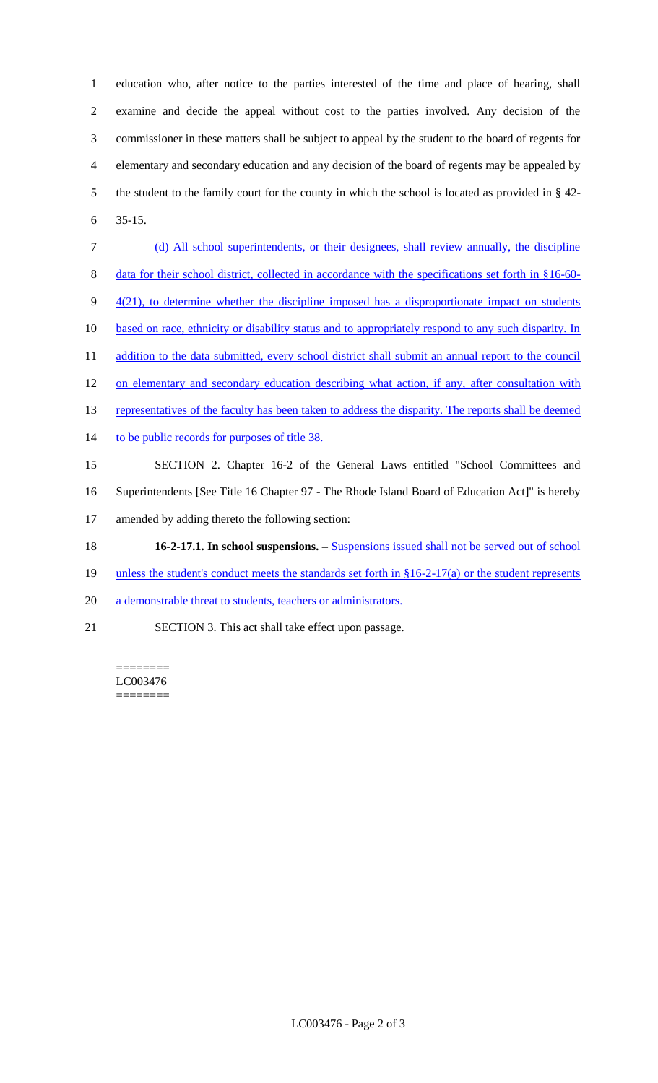education who, after notice to the parties interested of the time and place of hearing, shall examine and decide the appeal without cost to the parties involved. Any decision of the commissioner in these matters shall be subject to appeal by the student to the board of regents for elementary and secondary education and any decision of the board of regents may be appealed by the student to the family court for the county in which the school is located as provided in § 42- 6 35-15.

- 7 (d) All school superintendents, or their designees, shall review annually, the discipline 8 data for their school district, collected in accordance with the specifications set forth in §16-60- $9 - \frac{4(21)}{10}$ , to determine whether the discipline imposed has a disproportionate impact on students 10 based on race, ethnicity or disability status and to appropriately respond to any such disparity. In 11 addition to the data submitted, every school district shall submit an annual report to the council 12 on elementary and secondary education describing what action, if any, after consultation with 13 representatives of the faculty has been taken to address the disparity. The reports shall be deemed 14 to be public records for purposes of title 38. 15 SECTION 2. Chapter 16-2 of the General Laws entitled "School Committees and 16 Superintendents [See Title 16 Chapter 97 - The Rhode Island Board of Education Act]" is hereby 17 amended by adding thereto the following section: 18 **16-2-17.1. In school suspensions. –** Suspensions issued shall not be served out of school
- 19 unless the student's conduct meets the standards set forth in §16-2-17(a) or the student represents
- 20 a demonstrable threat to students, teachers or administrators.
- 21 SECTION 3. This act shall take effect upon passage.

======== LC003476 ========